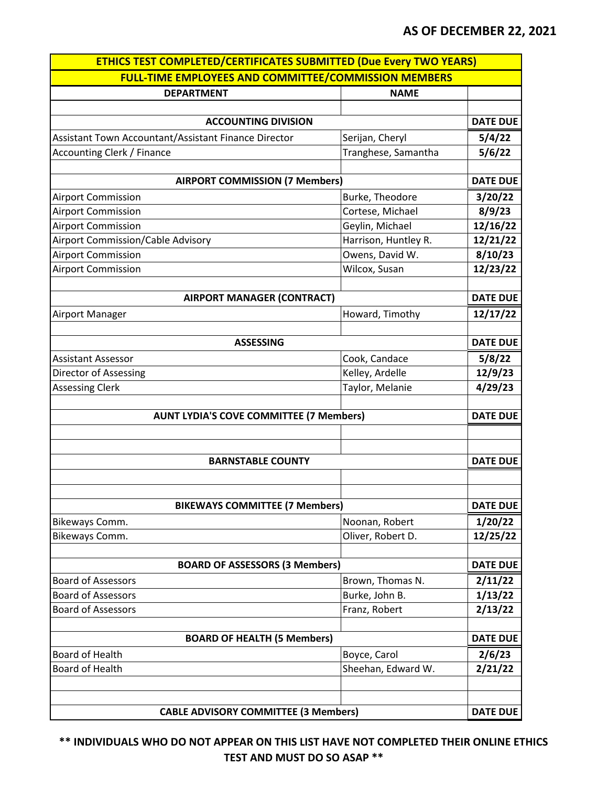| <b>FULL-TIME EMPLOYEES AND COMMITTEE/COMMISSION MEMBERS</b><br><b>DEPARTMENT</b><br><b>ACCOUNTING DIVISION</b><br>Assistant Town Accountant/Assistant Finance Director<br><b>Accounting Clerk / Finance</b> | <b>NAME</b><br>Serijan, Cheryl<br>Tranghese, Samantha<br>Burke, Theodore | <b>DATE DUE</b><br>5/4/22<br>5/6/22 |
|-------------------------------------------------------------------------------------------------------------------------------------------------------------------------------------------------------------|--------------------------------------------------------------------------|-------------------------------------|
|                                                                                                                                                                                                             |                                                                          |                                     |
|                                                                                                                                                                                                             |                                                                          |                                     |
|                                                                                                                                                                                                             |                                                                          |                                     |
|                                                                                                                                                                                                             |                                                                          |                                     |
|                                                                                                                                                                                                             |                                                                          |                                     |
|                                                                                                                                                                                                             |                                                                          |                                     |
|                                                                                                                                                                                                             |                                                                          |                                     |
| <b>AIRPORT COMMISSION (7 Members)</b>                                                                                                                                                                       |                                                                          | <b>DATE DUE</b>                     |
| <b>Airport Commission</b>                                                                                                                                                                                   |                                                                          | 3/20/22                             |
| <b>Airport Commission</b>                                                                                                                                                                                   | Cortese, Michael                                                         | 8/9/23                              |
| <b>Airport Commission</b>                                                                                                                                                                                   | Geylin, Michael                                                          | 12/16/22                            |
| <b>Airport Commission/Cable Advisory</b>                                                                                                                                                                    | Harrison, Huntley R.                                                     | 12/21/22                            |
| <b>Airport Commission</b>                                                                                                                                                                                   | Owens, David W.                                                          | 8/10/23                             |
| <b>Airport Commission</b>                                                                                                                                                                                   | Wilcox, Susan                                                            | 12/23/22                            |
|                                                                                                                                                                                                             |                                                                          |                                     |
| <b>AIRPORT MANAGER (CONTRACT)</b>                                                                                                                                                                           |                                                                          | <b>DATE DUE</b>                     |
| Airport Manager                                                                                                                                                                                             | Howard, Timothy                                                          | 12/17/22                            |
|                                                                                                                                                                                                             |                                                                          |                                     |
| <b>ASSESSING</b>                                                                                                                                                                                            |                                                                          | <b>DATE DUE</b>                     |
| <b>Assistant Assessor</b>                                                                                                                                                                                   | Cook, Candace                                                            | 5/8/22                              |
| Director of Assessing                                                                                                                                                                                       | Kelley, Ardelle                                                          | 12/9/23                             |
| <b>Assessing Clerk</b>                                                                                                                                                                                      | Taylor, Melanie                                                          | 4/29/23                             |
| <b>AUNT LYDIA'S COVE COMMITTEE (7 Members)</b>                                                                                                                                                              |                                                                          | <b>DATE DUE</b>                     |
|                                                                                                                                                                                                             |                                                                          |                                     |
| <b>BARNSTABLE COUNTY</b>                                                                                                                                                                                    |                                                                          | <b>DATE DUE</b>                     |
|                                                                                                                                                                                                             |                                                                          |                                     |
| <b>BIKEWAYS COMMITTEE (7 Members)</b>                                                                                                                                                                       |                                                                          | <b>DATE DUE</b>                     |
| Bikeways Comm.                                                                                                                                                                                              | Noonan, Robert                                                           | 1/20/22                             |
| Bikeways Comm.                                                                                                                                                                                              | Oliver, Robert D.                                                        | 12/25/22                            |
|                                                                                                                                                                                                             |                                                                          |                                     |
| <b>BOARD OF ASSESSORS (3 Members)</b>                                                                                                                                                                       |                                                                          | <b>DATE DUE</b>                     |
| <b>Board of Assessors</b>                                                                                                                                                                                   | Brown, Thomas N.                                                         | 2/11/22                             |
| <b>Board of Assessors</b>                                                                                                                                                                                   | Burke, John B.                                                           | 1/13/22                             |
| <b>Board of Assessors</b>                                                                                                                                                                                   | Franz, Robert                                                            | 2/13/22                             |
|                                                                                                                                                                                                             |                                                                          |                                     |
| <b>BOARD OF HEALTH (5 Members)</b>                                                                                                                                                                          |                                                                          | <b>DATE DUE</b>                     |
| Board of Health                                                                                                                                                                                             | Boyce, Carol                                                             | 2/6/23                              |
| <b>Board of Health</b>                                                                                                                                                                                      | Sheehan, Edward W.                                                       | 2/21/22                             |
|                                                                                                                                                                                                             |                                                                          |                                     |
| <b>CABLE ADVISORY COMMITTEE (3 Members)</b>                                                                                                                                                                 |                                                                          | <b>DATE DUE</b>                     |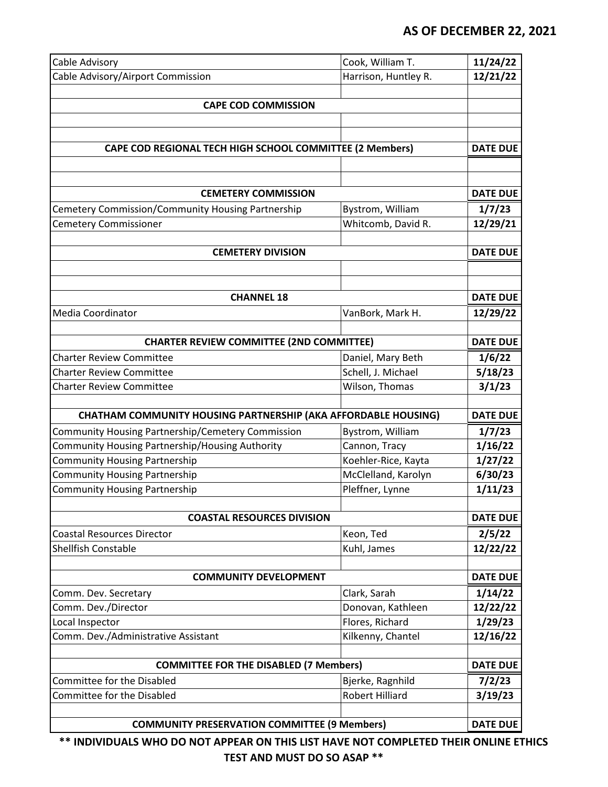| Cable Advisory                                                        | Cook, William T.     | 11/24/22        |
|-----------------------------------------------------------------------|----------------------|-----------------|
| Cable Advisory/Airport Commission                                     | Harrison, Huntley R. | 12/21/22        |
|                                                                       |                      |                 |
| <b>CAPE COD COMMISSION</b>                                            |                      |                 |
|                                                                       |                      |                 |
|                                                                       |                      |                 |
| CAPE COD REGIONAL TECH HIGH SCHOOL COMMITTEE (2 Members)              |                      | <b>DATE DUE</b> |
|                                                                       |                      |                 |
| <b>CEMETERY COMMISSION</b>                                            |                      | <b>DATE DUE</b> |
| Cemetery Commission/Community Housing Partnership                     | Bystrom, William     | 1/7/23          |
| <b>Cemetery Commissioner</b>                                          | Whitcomb, David R.   | 12/29/21        |
|                                                                       |                      |                 |
| <b>CEMETERY DIVISION</b>                                              |                      | <b>DATE DUE</b> |
|                                                                       |                      |                 |
|                                                                       |                      |                 |
| <b>CHANNEL 18</b>                                                     |                      | <b>DATE DUE</b> |
| Media Coordinator                                                     | VanBork, Mark H.     | 12/29/22        |
|                                                                       |                      |                 |
| <b>CHARTER REVIEW COMMITTEE (2ND COMMITTEE)</b>                       |                      | <b>DATE DUE</b> |
| <b>Charter Review Committee</b>                                       | Daniel, Mary Beth    | 1/6/22          |
| <b>Charter Review Committee</b>                                       | Schell, J. Michael   | 5/18/23         |
| <b>Charter Review Committee</b>                                       | Wilson, Thomas       | 3/1/23          |
|                                                                       |                      |                 |
| <b>CHATHAM COMMUNITY HOUSING PARTNERSHIP (AKA AFFORDABLE HOUSING)</b> |                      | <b>DATE DUE</b> |
| Community Housing Partnership/Cemetery Commission                     | Bystrom, William     | 1/7/23          |
| Community Housing Partnership/Housing Authority                       | Cannon, Tracy        | 1/16/22         |
| <b>Community Housing Partnership</b>                                  | Koehler-Rice, Kayta  | 1/27/22         |
| <b>Community Housing Partnership</b>                                  | McClelland, Karolyn  | 6/30/23         |
| <b>Community Housing Partnership</b>                                  | Pleffner, Lynne      | 1/11/23         |
|                                                                       |                      |                 |
| <b>COASTAL RESOURCES DIVISION</b>                                     |                      | <b>DATE DUE</b> |
| <b>Coastal Resources Director</b>                                     | Keon, Ted            | 2/5/22          |
| <b>Shellfish Constable</b>                                            | Kuhl, James          | 12/22/22        |
|                                                                       |                      |                 |
| <b>COMMUNITY DEVELOPMENT</b>                                          |                      | <b>DATE DUE</b> |
| Comm. Dev. Secretary                                                  | Clark, Sarah         | 1/14/22         |
| Comm. Dev./Director                                                   | Donovan, Kathleen    | 12/22/22        |
| Local Inspector                                                       | Flores, Richard      | 1/29/23         |
| Comm. Dev./Administrative Assistant                                   | Kilkenny, Chantel    | 12/16/22        |
|                                                                       |                      |                 |
| <b>COMMITTEE FOR THE DISABLED (7 Members)</b>                         |                      | <b>DATE DUE</b> |
| Committee for the Disabled                                            | Bjerke, Ragnhild     | 7/2/23          |
| Committee for the Disabled                                            | Robert Hilliard      | 3/19/23         |
|                                                                       |                      |                 |
| <b>COMMUNITY PRESERVATION COMMITTEE (9 Members)</b>                   |                      | <b>DATE DUE</b> |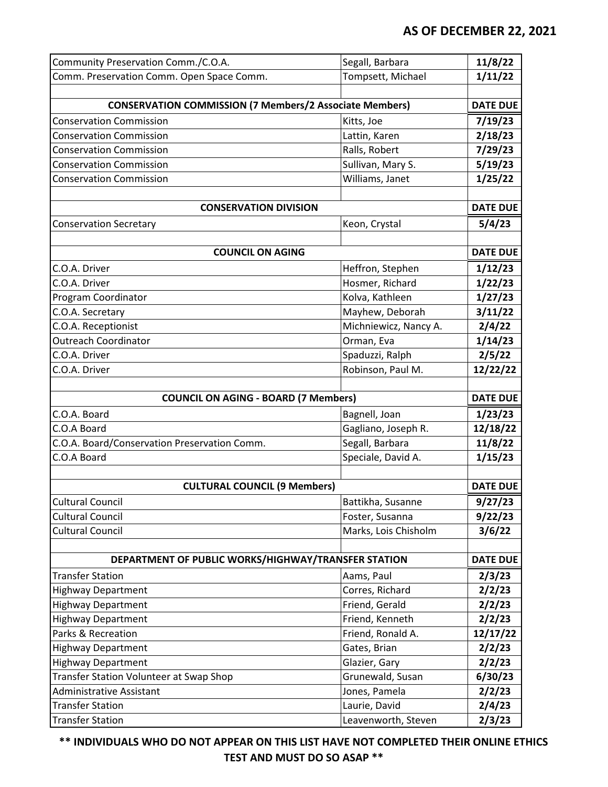| Community Preservation Comm./C.O.A.                            | Segall, Barbara       | 11/8/22         |
|----------------------------------------------------------------|-----------------------|-----------------|
| Comm. Preservation Comm. Open Space Comm.                      | Tompsett, Michael     | 1/11/22         |
|                                                                |                       |                 |
| <b>CONSERVATION COMMISSION (7 Members/2 Associate Members)</b> |                       | <b>DATE DUE</b> |
| <b>Conservation Commission</b>                                 | Kitts, Joe            | 7/19/23         |
| <b>Conservation Commission</b>                                 | Lattin, Karen         | 2/18/23         |
| <b>Conservation Commission</b>                                 | Ralls, Robert         | 7/29/23         |
| <b>Conservation Commission</b>                                 | Sullivan, Mary S.     | 5/19/23         |
| <b>Conservation Commission</b>                                 | Williams, Janet       | 1/25/22         |
|                                                                |                       |                 |
| <b>CONSERVATION DIVISION</b>                                   |                       | <b>DATE DUE</b> |
| <b>Conservation Secretary</b>                                  | Keon, Crystal         | 5/4/23          |
|                                                                |                       |                 |
| <b>COUNCIL ON AGING</b>                                        |                       | <b>DATE DUE</b> |
| C.O.A. Driver                                                  | Heffron, Stephen      | 1/12/23         |
| C.O.A. Driver                                                  | Hosmer, Richard       | 1/22/23         |
| Program Coordinator                                            | Kolva, Kathleen       | 1/27/23         |
| C.O.A. Secretary                                               | Mayhew, Deborah       | 3/11/22         |
| C.O.A. Receptionist                                            | Michniewicz, Nancy A. | 2/4/22          |
| <b>Outreach Coordinator</b>                                    | Orman, Eva            | 1/14/23         |
| C.O.A. Driver                                                  | Spaduzzi, Ralph       | 2/5/22          |
| C.O.A. Driver                                                  | Robinson, Paul M.     | 12/22/22        |
|                                                                |                       |                 |
| <b>COUNCIL ON AGING - BOARD (7 Members)</b>                    |                       | <b>DATE DUE</b> |
| C.O.A. Board                                                   | Bagnell, Joan         | 1/23/23         |
| C.O.A Board                                                    | Gagliano, Joseph R.   | 12/18/22        |
| C.O.A. Board/Conservation Preservation Comm.                   | Segall, Barbara       | 11/8/22         |
| C.O.A Board                                                    | Speciale, David A.    | 1/15/23         |
|                                                                |                       |                 |
| <b>CULTURAL COUNCIL (9 Members)</b>                            |                       | <b>DATE DUE</b> |
| <b>Cultural Council</b>                                        | Battikha, Susanne     | 9/27/23         |
| <b>Cultural Council</b>                                        | Foster, Susanna       | 9/22/23         |
| <b>Cultural Council</b>                                        | Marks, Lois Chisholm  | 3/6/22          |
|                                                                |                       |                 |
| DEPARTMENT OF PUBLIC WORKS/HIGHWAY/TRANSFER STATION            |                       | <b>DATE DUE</b> |
| <b>Transfer Station</b>                                        | Aams, Paul            | 2/3/23          |
| <b>Highway Department</b>                                      | Corres, Richard       | 2/2/23          |
| <b>Highway Department</b>                                      | Friend, Gerald        | 2/2/23          |
| <b>Highway Department</b>                                      | Friend, Kenneth       | 2/2/23          |
| Parks & Recreation                                             | Friend, Ronald A.     | 12/17/22        |
| <b>Highway Department</b>                                      | Gates, Brian          | 2/2/23          |
| <b>Highway Department</b>                                      | Glazier, Gary         | 2/2/23          |
| Transfer Station Volunteer at Swap Shop                        | Grunewald, Susan      | 6/30/23         |
| <b>Administrative Assistant</b>                                | Jones, Pamela         | 2/2/23          |
| <b>Transfer Station</b>                                        | Laurie, David         | 2/4/23          |
| <b>Transfer Station</b>                                        | Leavenworth, Steven   | 2/3/23          |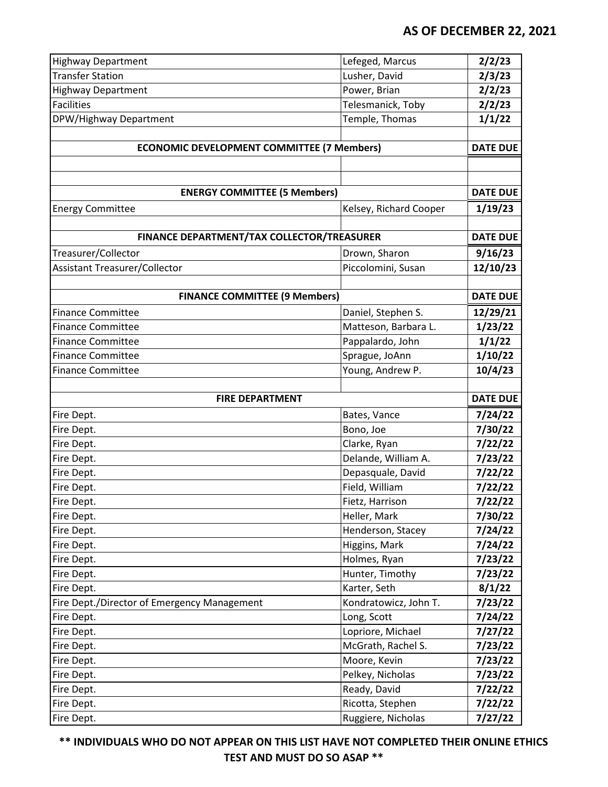| <b>Highway Department</b>                         | Lefeged, Marcus                         | 2/2/23             |
|---------------------------------------------------|-----------------------------------------|--------------------|
| <b>Transfer Station</b>                           | Lusher, David                           | 2/3/23             |
| <b>Highway Department</b>                         | Power, Brian                            | 2/2/23             |
| <b>Facilities</b>                                 | Telesmanick, Toby                       | 2/2/23             |
| DPW/Highway Department                            | Temple, Thomas                          | 1/1/22             |
|                                                   |                                         |                    |
| <b>ECONOMIC DEVELOPMENT COMMITTEE (7 Members)</b> |                                         | <b>DATE DUE</b>    |
|                                                   |                                         |                    |
| <b>ENERGY COMMITTEE (5 Members)</b>               |                                         | <b>DATE DUE</b>    |
| <b>Energy Committee</b>                           | Kelsey, Richard Cooper                  | 1/19/23            |
|                                                   |                                         |                    |
| FINANCE DEPARTMENT/TAX COLLECTOR/TREASURER        |                                         | <b>DATE DUE</b>    |
| Treasurer/Collector                               | Drown, Sharon                           | 9/16/23            |
| <b>Assistant Treasurer/Collector</b>              | Piccolomini, Susan                      | 12/10/23           |
|                                                   |                                         |                    |
| <b>FINANCE COMMITTEE (9 Members)</b>              |                                         | <b>DATE DUE</b>    |
| <b>Finance Committee</b>                          | Daniel, Stephen S.                      | 12/29/21           |
| <b>Finance Committee</b>                          | Matteson, Barbara L.                    | 1/23/22            |
| <b>Finance Committee</b>                          | Pappalardo, John                        | 1/1/22             |
| <b>Finance Committee</b>                          | Sprague, JoAnn                          | 1/10/22            |
| <b>Finance Committee</b>                          | Young, Andrew P.                        | 10/4/23            |
|                                                   |                                         |                    |
|                                                   |                                         |                    |
| <b>FIRE DEPARTMENT</b>                            |                                         | <b>DATE DUE</b>    |
| Fire Dept.                                        | Bates, Vance                            | 7/24/22            |
| Fire Dept.                                        | Bono, Joe                               | 7/30/22            |
| Fire Dept.                                        | Clarke, Ryan                            | 7/22/22            |
| Fire Dept.                                        | Delande, William A.                     | 7/23/22            |
| Fire Dept.                                        | Depasquale, David                       | 7/22/22            |
| Fire Dept.                                        | Field, William                          | 7/22/22            |
| Fire Dept.                                        | Fietz, Harrison                         | 7/22/22            |
| Fire Dept.                                        | Heller, Mark                            | 7/30/22            |
| Fire Dept.                                        | Henderson, Stacey                       | 7/24/22            |
| Fire Dept.                                        | Higgins, Mark                           | 7/24/22            |
| Fire Dept.                                        | Holmes, Ryan                            | 7/23/22            |
| Fire Dept.                                        | Hunter, Timothy                         | 7/23/22            |
| Fire Dept.                                        | Karter, Seth                            | 8/1/22             |
| Fire Dept./Director of Emergency Management       | Kondratowicz, John T.<br>Long, Scott    | 7/23/22            |
| Fire Dept.                                        |                                         | 7/24/22            |
| Fire Dept.                                        | Lopriore, Michael<br>McGrath, Rachel S. | 7/27/22            |
| Fire Dept.<br>Fire Dept.                          | Moore, Kevin                            | 7/23/22<br>7/23/22 |
| Fire Dept.                                        | Pelkey, Nicholas                        | 7/23/22            |
| Fire Dept.                                        | Ready, David                            | 7/22/22            |
| Fire Dept.                                        | Ricotta, Stephen                        | 7/22/22            |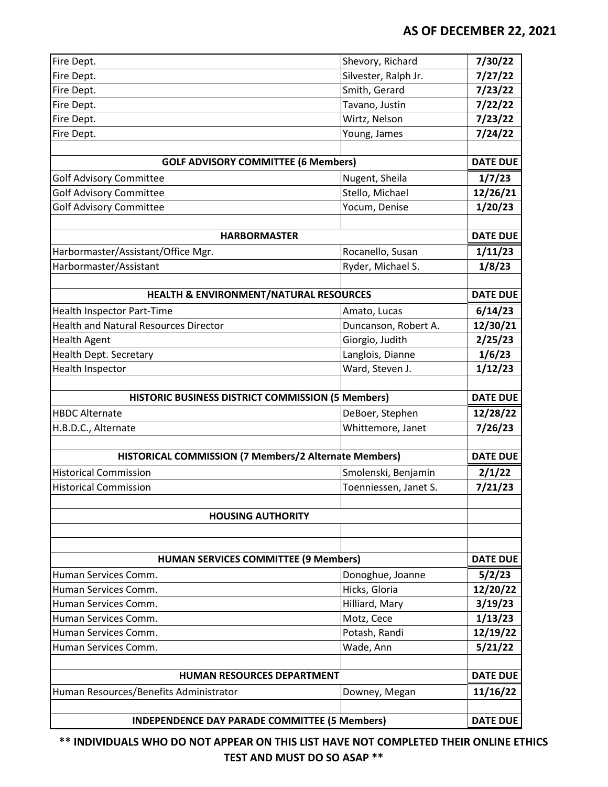| Fire Dept.                                            | Shevory, Richard                  | 7/30/22            |
|-------------------------------------------------------|-----------------------------------|--------------------|
| Fire Dept.                                            | Silvester, Ralph Jr.              | 7/27/22            |
| Fire Dept.                                            | Smith, Gerard                     | 7/23/22            |
| Fire Dept.                                            | Tavano, Justin                    | 7/22/22            |
| Fire Dept.                                            | Wirtz, Nelson                     | 7/23/22            |
| Fire Dept.                                            | Young, James                      | 7/24/22            |
| <b>GOLF ADVISORY COMMITTEE (6 Members)</b>            |                                   | <b>DATE DUE</b>    |
| <b>Golf Advisory Committee</b>                        | Nugent, Sheila                    | 1/7/23             |
| <b>Golf Advisory Committee</b>                        | Stello, Michael                   | 12/26/21           |
| <b>Golf Advisory Committee</b>                        | Yocum, Denise                     | 1/20/23            |
|                                                       |                                   |                    |
| <b>HARBORMASTER</b>                                   |                                   | <b>DATE DUE</b>    |
| Harbormaster/Assistant/Office Mgr.                    | Rocanello, Susan                  | 1/11/23            |
| Harbormaster/Assistant                                | Ryder, Michael S.                 | 1/8/23             |
|                                                       |                                   |                    |
| HEALTH & ENVIRONMENT/NATURAL RESOURCES                |                                   | <b>DATE DUE</b>    |
| <b>Health Inspector Part-Time</b>                     | Amato, Lucas                      | 6/14/23            |
| <b>Health and Natural Resources Director</b>          | Duncanson, Robert A.              | 12/30/21           |
| <b>Health Agent</b>                                   | Giorgio, Judith                   | 2/25/23            |
| Health Dept. Secretary                                | Langlois, Dianne                  | 1/6/23             |
| Health Inspector                                      | Ward, Steven J.                   | 1/12/23            |
|                                                       |                                   |                    |
| HISTORIC BUSINESS DISTRICT COMMISSION (5 Members)     |                                   | <b>DATE DUE</b>    |
| <b>HBDC Alternate</b>                                 | DeBoer, Stephen                   | 12/28/22           |
| H.B.D.C., Alternate                                   | Whittemore, Janet                 | 7/26/23            |
|                                                       |                                   |                    |
| HISTORICAL COMMISSION (7 Members/2 Alternate Members) |                                   | <b>DATE DUE</b>    |
| <b>Historical Commission</b>                          | Smolenski, Benjamin               | 2/1/22             |
| <b>Historical Commission</b>                          | Toenniessen, Janet S.             | 7/21/23            |
|                                                       |                                   |                    |
| <b>HOUSING AUTHORITY</b>                              |                                   |                    |
| <b>HUMAN SERVICES COMMITTEE (9 Members)</b>           |                                   |                    |
|                                                       |                                   | <b>DATE DUE</b>    |
| Human Services Comm.                                  |                                   |                    |
| Human Services Comm.                                  | Donoghue, Joanne<br>Hicks, Gloria | 5/2/23<br>12/20/22 |
| Human Services Comm.                                  | Hilliard, Mary                    |                    |
| Human Services Comm.                                  | Motz, Cece                        | 3/19/23<br>1/13/23 |
| Human Services Comm.                                  | Potash, Randi                     | 12/19/22           |
| Human Services Comm.                                  | Wade, Ann                         | 5/21/22            |
|                                                       |                                   |                    |
| <b>HUMAN RESOURCES DEPARTMENT</b>                     |                                   | <b>DATE DUE</b>    |
| Human Resources/Benefits Administrator                | Downey, Megan                     | 11/16/22           |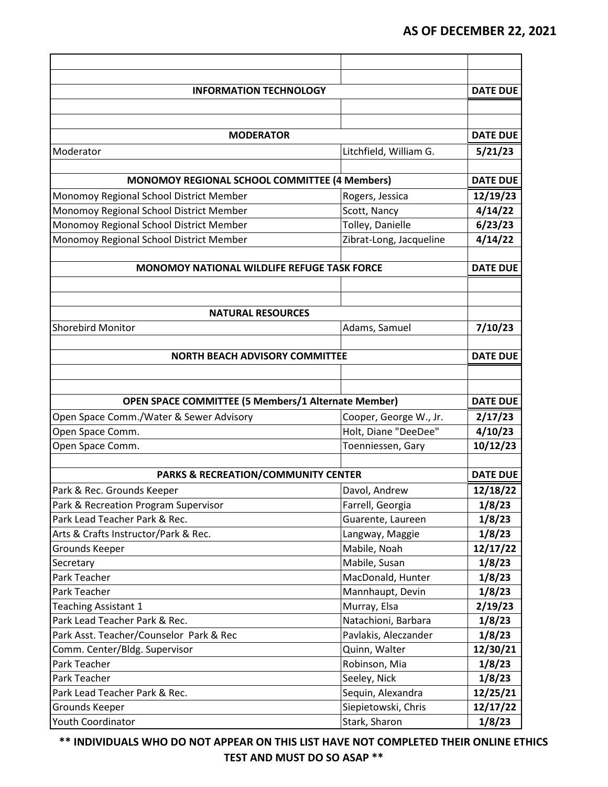| <b>INFORMATION TECHNOLOGY</b>                              |                         | <b>DATE DUE</b> |
|------------------------------------------------------------|-------------------------|-----------------|
|                                                            |                         |                 |
|                                                            |                         |                 |
| <b>MODERATOR</b>                                           |                         | <b>DATE DUE</b> |
| Moderator                                                  | Litchfield, William G.  | 5/21/23         |
|                                                            |                         |                 |
| MONOMOY REGIONAL SCHOOL COMMITTEE (4 Members)              |                         | <b>DATE DUE</b> |
| Monomoy Regional School District Member                    | Rogers, Jessica         | 12/19/23        |
| Monomoy Regional School District Member                    | Scott, Nancy            | 4/14/22         |
| Monomoy Regional School District Member                    | Tolley, Danielle        | 6/23/23         |
| Monomoy Regional School District Member                    | Zibrat-Long, Jacqueline | 4/14/22         |
|                                                            |                         |                 |
| <b>MONOMOY NATIONAL WILDLIFE REFUGE TASK FORCE</b>         |                         | <b>DATE DUE</b> |
|                                                            |                         |                 |
|                                                            |                         |                 |
| <b>NATURAL RESOURCES</b>                                   |                         |                 |
| <b>Shorebird Monitor</b>                                   | Adams, Samuel           | 7/10/23         |
|                                                            |                         |                 |
| <b>NORTH BEACH ADVISORY COMMITTEE</b>                      |                         | <b>DATE DUE</b> |
|                                                            |                         |                 |
|                                                            |                         |                 |
| <b>OPEN SPACE COMMITTEE (5 Members/1 Alternate Member)</b> |                         | <b>DATE DUE</b> |
| Open Space Comm./Water & Sewer Advisory                    | Cooper, George W., Jr.  | 2/17/23         |
| Open Space Comm.                                           | Holt, Diane "DeeDee"    | 4/10/23         |
| Open Space Comm.                                           | Toenniessen, Gary       | 10/12/23        |
|                                                            |                         |                 |
| <b>PARKS &amp; RECREATION/COMMUNITY CENTER</b>             |                         | <b>DATE DUE</b> |
| Park & Rec. Grounds Keeper                                 | Davol, Andrew           | 12/18/22        |
| Park & Recreation Program Supervisor                       | Farrell, Georgia        | 1/8/23          |
| Park Lead Teacher Park & Rec.                              | Guarente, Laureen       | 1/8/23          |
| Arts & Crafts Instructor/Park & Rec.                       | Langway, Maggie         | 1/8/23          |
| Grounds Keeper                                             | Mabile, Noah            | 12/17/22        |
| Secretary                                                  | Mabile, Susan           | 1/8/23          |
| Park Teacher                                               | MacDonald, Hunter       | 1/8/23          |
| Park Teacher                                               | Mannhaupt, Devin        | 1/8/23          |
| <b>Teaching Assistant 1</b>                                | Murray, Elsa            | 2/19/23         |
| Park Lead Teacher Park & Rec.                              | Natachioni, Barbara     | 1/8/23          |
| Park Asst. Teacher/Counselor Park & Rec                    | Pavlakis, Aleczander    | 1/8/23          |
| Comm. Center/Bldg. Supervisor                              | Quinn, Walter           | 12/30/21        |
| Park Teacher                                               | Robinson, Mia           | 1/8/23          |
| Park Teacher                                               | Seeley, Nick            | 1/8/23          |
| Park Lead Teacher Park & Rec.                              | Sequin, Alexandra       | 12/25/21        |
| Grounds Keeper                                             | Siepietowski, Chris     | 12/17/22        |
| Youth Coordinator                                          | Stark, Sharon           | 1/8/23          |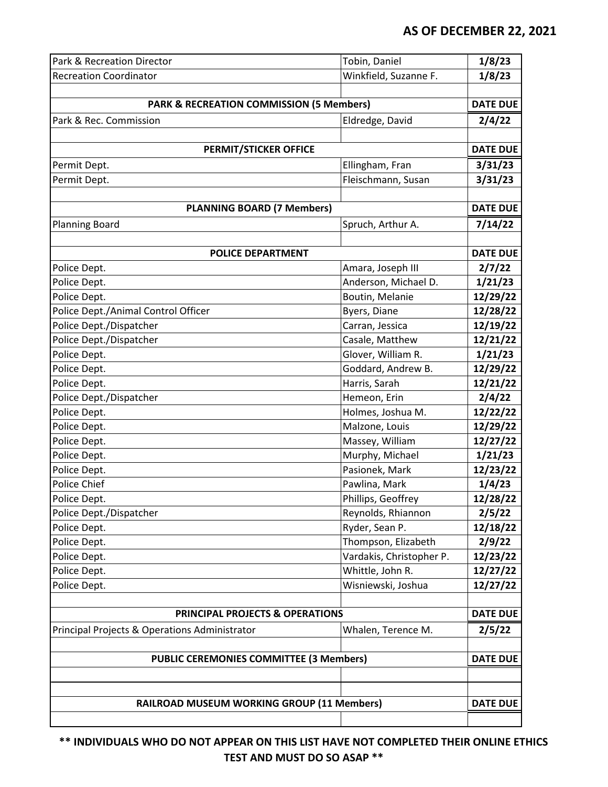| Park & Recreation Director                          | Tobin, Daniel            | 1/8/23          |
|-----------------------------------------------------|--------------------------|-----------------|
| <b>Recreation Coordinator</b>                       | Winkfield, Suzanne F.    | 1/8/23          |
|                                                     |                          |                 |
| <b>PARK &amp; RECREATION COMMISSION (5 Members)</b> |                          | <b>DATE DUE</b> |
| Park & Rec. Commission                              | Eldredge, David          | 2/4/22          |
|                                                     |                          |                 |
| <b>PERMIT/STICKER OFFICE</b>                        |                          | <b>DATE DUE</b> |
| Permit Dept.                                        | Ellingham, Fran          | 3/31/23         |
| Permit Dept.                                        | Fleischmann, Susan       | 3/31/23         |
|                                                     |                          |                 |
| <b>PLANNING BOARD (7 Members)</b>                   |                          | <b>DATE DUE</b> |
| <b>Planning Board</b>                               | Spruch, Arthur A.        | 7/14/22         |
|                                                     |                          |                 |
| <b>POLICE DEPARTMENT</b>                            |                          | <b>DATE DUE</b> |
| Police Dept.                                        | Amara, Joseph III        | 2/7/22          |
| Police Dept.                                        | Anderson, Michael D.     | 1/21/23         |
| Police Dept.                                        | Boutin, Melanie          | 12/29/22        |
| Police Dept./Animal Control Officer                 | Byers, Diane             | 12/28/22        |
| Police Dept./Dispatcher                             | Carran, Jessica          | 12/19/22        |
| Police Dept./Dispatcher                             | Casale, Matthew          | 12/21/22        |
| Police Dept.                                        | Glover, William R.       | 1/21/23         |
| Police Dept.                                        | Goddard, Andrew B.       | 12/29/22        |
| Police Dept.                                        | Harris, Sarah            | 12/21/22        |
| Police Dept./Dispatcher                             | Hemeon, Erin             | 2/4/22          |
| Police Dept.                                        | Holmes, Joshua M.        | 12/22/22        |
| Police Dept.                                        | Malzone, Louis           | 12/29/22        |
| Police Dept.                                        | Massey, William          | 12/27/22        |
| Police Dept.                                        | Murphy, Michael          | 1/21/23         |
| Police Dept.                                        | Pasionek, Mark           | 12/23/22        |
| Police Chief                                        | Pawlina, Mark            | 1/4/23          |
| Police Dept.                                        | Phillips, Geoffrey       | 12/28/22        |
| Police Dept./Dispatcher                             | Reynolds, Rhiannon       | 2/5/22          |
| Police Dept.                                        | Ryder, Sean P.           | 12/18/22        |
| Police Dept.                                        | Thompson, Elizabeth      | 2/9/22          |
| Police Dept.                                        | Vardakis, Christopher P. | 12/23/22        |
| Police Dept.                                        | Whittle, John R.         | 12/27/22        |
| Police Dept.                                        | Wisniewski, Joshua       | 12/27/22        |
|                                                     |                          |                 |
| <b>PRINCIPAL PROJECTS &amp; OPERATIONS</b>          |                          | <b>DATE DUE</b> |
| Principal Projects & Operations Administrator       | Whalen, Terence M.       | 2/5/22          |
|                                                     |                          |                 |
| <b>PUBLIC CEREMONIES COMMITTEE (3 Members)</b>      |                          | <b>DATE DUE</b> |
|                                                     |                          |                 |
|                                                     |                          |                 |
| RAILROAD MUSEUM WORKING GROUP (11 Members)          |                          | <b>DATE DUE</b> |
|                                                     |                          |                 |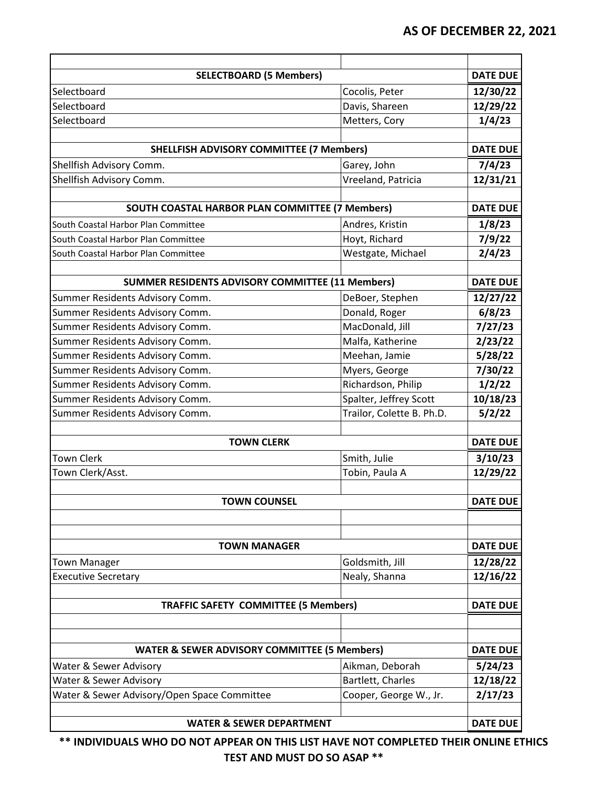| <b>SELECTBOARD (5 Members)</b>                          |                           | <b>DATE DUE</b> |
|---------------------------------------------------------|---------------------------|-----------------|
| Selectboard                                             | Cocolis, Peter            | 12/30/22        |
| Selectboard                                             | Davis, Shareen            | 12/29/22        |
| Selectboard                                             | Metters, Cory             | 1/4/23          |
|                                                         |                           |                 |
| <b>SHELLFISH ADVISORY COMMITTEE (7 Members)</b>         |                           | <b>DATE DUE</b> |
| Shellfish Advisory Comm.                                | Garey, John               | 7/4/23          |
| Shellfish Advisory Comm.                                | Vreeland, Patricia        | 12/31/21        |
| SOUTH COASTAL HARBOR PLAN COMMITTEE (7 Members)         |                           | <b>DATE DUE</b> |
| South Coastal Harbor Plan Committee                     | Andres, Kristin           | 1/8/23          |
| South Coastal Harbor Plan Committee                     | Hoyt, Richard             | 7/9/22          |
| South Coastal Harbor Plan Committee                     | Westgate, Michael         | 2/4/23          |
|                                                         |                           |                 |
| <b>SUMMER RESIDENTS ADVISORY COMMITTEE (11 Members)</b> |                           | <b>DATE DUE</b> |
| Summer Residents Advisory Comm.                         | DeBoer, Stephen           | 12/27/22        |
| Summer Residents Advisory Comm.                         | Donald, Roger             | 6/8/23          |
| Summer Residents Advisory Comm.                         | MacDonald, Jill           | 7/27/23         |
| Summer Residents Advisory Comm.                         | Malfa, Katherine          | 2/23/22         |
| Summer Residents Advisory Comm.                         | Meehan, Jamie             | 5/28/22         |
| Summer Residents Advisory Comm.                         | Myers, George             | 7/30/22         |
| Summer Residents Advisory Comm.                         | Richardson, Philip        | 1/2/22          |
| Summer Residents Advisory Comm.                         | Spalter, Jeffrey Scott    | 10/18/23        |
| Summer Residents Advisory Comm.                         | Trailor, Colette B. Ph.D. | 5/2/22          |
|                                                         |                           |                 |
| <b>TOWN CLERK</b>                                       |                           | <b>DATE DUE</b> |
| <b>Town Clerk</b>                                       | Smith, Julie              | 3/10/23         |
| Town Clerk/Asst.                                        | Tobin, Paula A            | 12/29/22        |
| <b>TOWN COUNSEL</b>                                     |                           | <b>DATE DUE</b> |
|                                                         |                           |                 |
|                                                         |                           |                 |
| <b>TOWN MANAGER</b>                                     |                           | <b>DATE DUE</b> |
| <b>Town Manager</b>                                     | Goldsmith, Jill           | 12/28/22        |
| <b>Executive Secretary</b>                              | Nealy, Shanna             | 12/16/22        |
|                                                         |                           |                 |
| <b>TRAFFIC SAFETY COMMITTEE (5 Members)</b>             |                           | <b>DATE DUE</b> |
|                                                         |                           |                 |
|                                                         |                           |                 |
| <b>WATER &amp; SEWER ADVISORY COMMITTEE (5 Members)</b> |                           | <b>DATE DUE</b> |
| Water & Sewer Advisory                                  | Aikman, Deborah           | 5/24/23         |
| Water & Sewer Advisory                                  | Bartlett, Charles         | 12/18/22        |
| Water & Sewer Advisory/Open Space Committee             | Cooper, George W., Jr.    | 2/17/23         |
|                                                         |                           |                 |
| <b>WATER &amp; SEWER DEPARTMENT</b>                     |                           | <b>DATE DUE</b> |